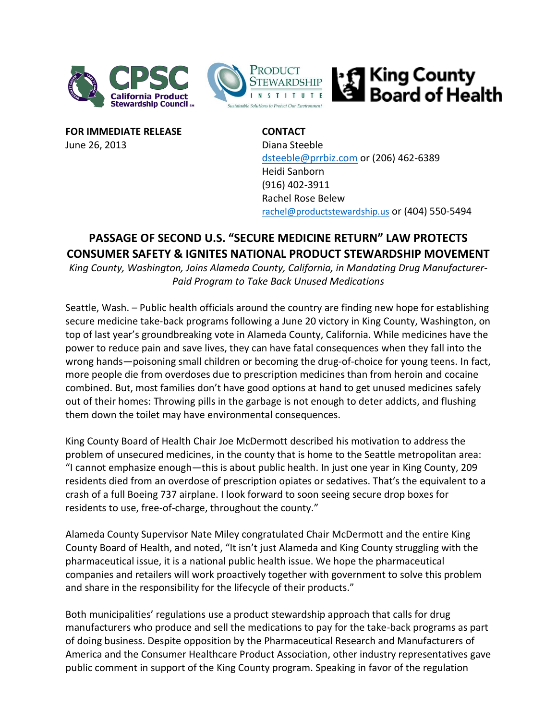



**FOR IMMEDIATE RELEASE CONTACT** June 26, 2013 Diana Steeble

[dsteeble@prrbiz.com](mailto:dsteeble@prrbiz.com) or (206) 462-6389 Heidi Sanborn (916) 402-3911 Rachel Rose Belew [rachel@productstewardship.us](mailto:rachel@productstewardship.us) or (404) 550-5494

| King County<br>| Board of Health

## **PASSAGE OF SECOND U.S. "SECURE MEDICINE RETURN" LAW PROTECTS CONSUMER SAFETY & IGNITES NATIONAL PRODUCT STEWARDSHIP MOVEMENT**

*King County, Washington, Joins Alameda County, California, in Mandating Drug Manufacturer-Paid Program to Take Back Unused Medications*

Seattle, Wash. – Public health officials around the country are finding new hope for establishing secure medicine take-back programs following a June 20 victory in King County, Washington, on top of last year's groundbreaking vote in Alameda County, California. While medicines have the power to reduce pain and save lives, they can have fatal consequences when they fall into the wrong hands—poisoning small children or becoming the drug-of-choice for young teens. In fact, more people die from overdoses due to prescription medicines than from heroin and cocaine combined. But, most families don't have good options at hand to get unused medicines safely out of their homes: Throwing pills in the garbage is not enough to deter addicts, and flushing them down the toilet may have environmental consequences.

King County Board of Health Chair Joe McDermott described his motivation to address the problem of unsecured medicines, in the county that is home to the Seattle metropolitan area: "I cannot emphasize enough—this is about public health. In just one year in King County, 209 residents died from an overdose of prescription opiates or sedatives. That's the equivalent to a crash of a full Boeing 737 airplane. I look forward to soon seeing secure drop boxes for residents to use, free-of-charge, throughout the county."

Alameda County Supervisor Nate Miley congratulated Chair McDermott and the entire King County Board of Health, and noted, "It isn't just Alameda and King County struggling with the pharmaceutical issue, it is a national public health issue. We hope the pharmaceutical companies and retailers will work proactively together with government to solve this problem and share in the responsibility for the lifecycle of their products."

Both municipalities' regulations use a product stewardship approach that calls for drug manufacturers who produce and sell the medications to pay for the take-back programs as part of doing business. Despite opposition by the Pharmaceutical Research and Manufacturers of America and the Consumer Healthcare Product Association, other industry representatives gave public comment in support of the King County program. Speaking in favor of the regulation